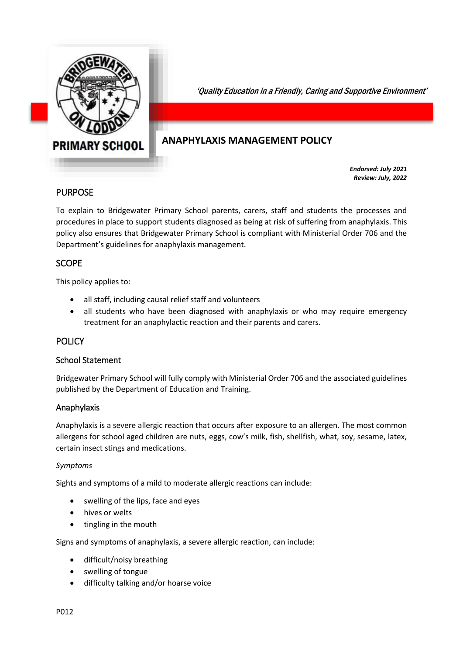

'Quality Education in a Friendly, Caring and Supportive Environment'

# **ANAPHYLAXIS MANAGEMENT POLICY**

*Endorsed: July 2021 Review: July, 2022*

## PURPOSE

To explain to Bridgewater Primary School parents, carers, staff and students the processes and procedures in place to support students diagnosed as being at risk of suffering from anaphylaxis. This policy also ensures that Bridgewater Primary School is compliant with Ministerial Order 706 and the Department's guidelines for anaphylaxis management.

## SCOPE

This policy applies to:

- all staff, including causal relief staff and volunteers
- all students who have been diagnosed with anaphylaxis or who may require emergency treatment for an anaphylactic reaction and their parents and carers.

#### **POLICY**

#### School Statement

Bridgewater Primary School will fully comply with Ministerial Order 706 and the associated guidelines published by the Department of Education and Training.

#### Anaphylaxis

Anaphylaxis is a severe allergic reaction that occurs after exposure to an allergen. The most common allergens for school aged children are nuts, eggs, cow's milk, fish, shellfish, what, soy, sesame, latex, certain insect stings and medications.

#### *Symptoms*

Sights and symptoms of a mild to moderate allergic reactions can include:

- swelling of the lips, face and eyes
- hives or welts
- tingling in the mouth

Signs and symptoms of anaphylaxis, a severe allergic reaction, can include:

- difficult/noisy breathing
- swelling of tongue
- difficulty talking and/or hoarse voice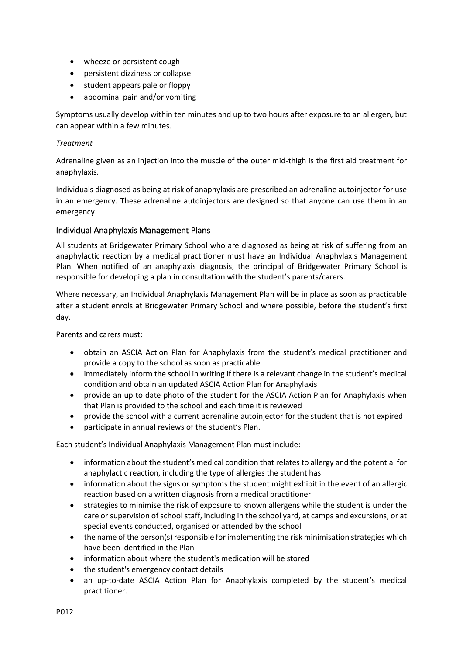- wheeze or persistent cough
- persistent dizziness or collapse
- student appears pale or floppy
- abdominal pain and/or vomiting

Symptoms usually develop within ten minutes and up to two hours after exposure to an allergen, but can appear within a few minutes.

#### *Treatment*

Adrenaline given as an injection into the muscle of the outer mid-thigh is the first aid treatment for anaphylaxis.

Individuals diagnosed as being at risk of anaphylaxis are prescribed an adrenaline autoinjector for use in an emergency. These adrenaline autoinjectors are designed so that anyone can use them in an emergency.

#### Individual Anaphylaxis Management Plans

All students at Bridgewater Primary School who are diagnosed as being at risk of suffering from an anaphylactic reaction by a medical practitioner must have an Individual Anaphylaxis Management Plan. When notified of an anaphylaxis diagnosis, the principal of Bridgewater Primary School is responsible for developing a plan in consultation with the student's parents/carers.

Where necessary, an Individual Anaphylaxis Management Plan will be in place as soon as practicable after a student enrols at Bridgewater Primary School and where possible, before the student's first day.

Parents and carers must:

- obtain an ASCIA Action Plan for Anaphylaxis from the student's medical practitioner and provide a copy to the school as soon as practicable
- immediately inform the school in writing if there is a relevant change in the student's medical condition and obtain an updated ASCIA Action Plan for Anaphylaxis
- provide an up to date photo of the student for the ASCIA Action Plan for Anaphylaxis when that Plan is provided to the school and each time it is reviewed
- provide the school with a current adrenaline autoinjector for the student that is not expired
- participate in annual reviews of the student's Plan.

Each student's Individual Anaphylaxis Management Plan must include:

- information about the student's medical condition that relates to allergy and the potential for anaphylactic reaction, including the type of allergies the student has
- information about the signs or symptoms the student might exhibit in the event of an allergic reaction based on a written diagnosis from a medical practitioner
- strategies to minimise the risk of exposure to known allergens while the student is under the care or supervision of school staff, including in the school yard, at camps and excursions, or at special events conducted, organised or attended by the school
- the name of the person(s) responsible for implementing the risk minimisation strategies which have been identified in the Plan
- information about where the student's medication will be stored
- the student's emergency contact details
- an up-to-date ASCIA Action Plan for Anaphylaxis completed by the student's medical practitioner.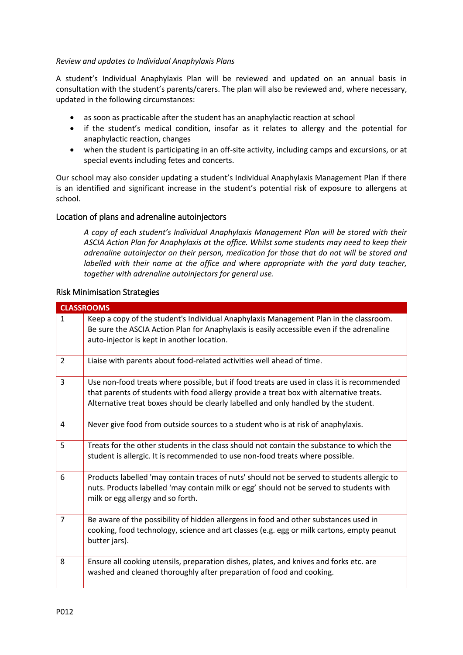#### *Review and updates to Individual Anaphylaxis Plans*

A student's Individual Anaphylaxis Plan will be reviewed and updated on an annual basis in consultation with the student's parents/carers. The plan will also be reviewed and, where necessary, updated in the following circumstances:

- as soon as practicable after the student has an anaphylactic reaction at school
- if the student's medical condition, insofar as it relates to allergy and the potential for anaphylactic reaction, changes
- when the student is participating in an off-site activity, including camps and excursions, or at special events including fetes and concerts.

Our school may also consider updating a student's Individual Anaphylaxis Management Plan if there is an identified and significant increase in the student's potential risk of exposure to allergens at school.

#### Location of plans and adrenaline autoinjectors

*A copy of each student's Individual Anaphylaxis Management Plan will be stored with their ASCIA Action Plan for Anaphylaxis at the office. Whilst some students may need to keep their adrenaline autoinjector on their person, medication for those that do not will be stored and labelled with their name at the office and where appropriate with the yard duty teacher, together with adrenaline autoinjectors for general use.*

#### Risk Minimisation Strategies

| <b>CLASSROOMS</b> |                                                                                                                                                                                                                                                                              |
|-------------------|------------------------------------------------------------------------------------------------------------------------------------------------------------------------------------------------------------------------------------------------------------------------------|
| $\mathbf{1}$      | Keep a copy of the student's Individual Anaphylaxis Management Plan in the classroom.<br>Be sure the ASCIA Action Plan for Anaphylaxis is easily accessible even if the adrenaline<br>auto-injector is kept in another location.                                             |
| $\overline{2}$    | Liaise with parents about food-related activities well ahead of time.                                                                                                                                                                                                        |
| 3                 | Use non-food treats where possible, but if food treats are used in class it is recommended<br>that parents of students with food allergy provide a treat box with alternative treats.<br>Alternative treat boxes should be clearly labelled and only handled by the student. |
| 4                 | Never give food from outside sources to a student who is at risk of anaphylaxis.                                                                                                                                                                                             |
| 5                 | Treats for the other students in the class should not contain the substance to which the<br>student is allergic. It is recommended to use non-food treats where possible.                                                                                                    |
| 6                 | Products labelled 'may contain traces of nuts' should not be served to students allergic to<br>nuts. Products labelled 'may contain milk or egg' should not be served to students with<br>milk or egg allergy and so forth.                                                  |
| 7                 | Be aware of the possibility of hidden allergens in food and other substances used in<br>cooking, food technology, science and art classes (e.g. egg or milk cartons, empty peanut<br>butter jars).                                                                           |
| 8                 | Ensure all cooking utensils, preparation dishes, plates, and knives and forks etc. are<br>washed and cleaned thoroughly after preparation of food and cooking.                                                                                                               |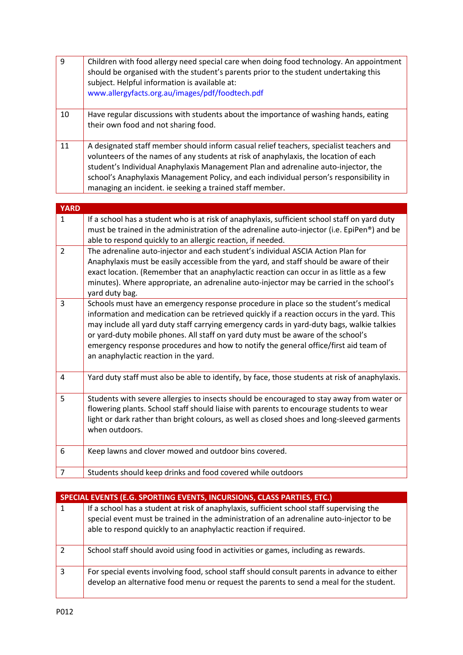| $\overline{9}$ | Children with food allergy need special care when doing food technology. An appointment<br>should be organised with the student's parents prior to the student undertaking this<br>subject. Helpful information is available at:<br>www.allergyfacts.org.au/images/pdf/foodtech.pdf                                                                                                                                         |
|----------------|-----------------------------------------------------------------------------------------------------------------------------------------------------------------------------------------------------------------------------------------------------------------------------------------------------------------------------------------------------------------------------------------------------------------------------|
| 10             | Have regular discussions with students about the importance of washing hands, eating<br>their own food and not sharing food.                                                                                                                                                                                                                                                                                                |
| 11             | A designated staff member should inform casual relief teachers, specialist teachers and<br>volunteers of the names of any students at risk of anaphylaxis, the location of each<br>student's Individual Anaphylaxis Management Plan and adrenaline auto-injector, the<br>school's Anaphylaxis Management Policy, and each individual person's responsibility in<br>managing an incident. ie seeking a trained staff member. |

| <b>YARD</b>    |                                                                                                                                                                                                                                                                                                                                                                                                                                                                                                      |
|----------------|------------------------------------------------------------------------------------------------------------------------------------------------------------------------------------------------------------------------------------------------------------------------------------------------------------------------------------------------------------------------------------------------------------------------------------------------------------------------------------------------------|
| $\mathbf{1}$   | If a school has a student who is at risk of anaphylaxis, sufficient school staff on yard duty<br>must be trained in the administration of the adrenaline auto-injector (i.e. EpiPen <sup>®</sup> ) and be<br>able to respond quickly to an allergic reaction, if needed.                                                                                                                                                                                                                             |
| $\overline{2}$ | The adrenaline auto-injector and each student's individual ASCIA Action Plan for<br>Anaphylaxis must be easily accessible from the yard, and staff should be aware of their<br>exact location. (Remember that an anaphylactic reaction can occur in as little as a few<br>minutes). Where appropriate, an adrenaline auto-injector may be carried in the school's<br>yard duty bag.                                                                                                                  |
| 3              | Schools must have an emergency response procedure in place so the student's medical<br>information and medication can be retrieved quickly if a reaction occurs in the yard. This<br>may include all yard duty staff carrying emergency cards in yard-duty bags, walkie talkies<br>or yard-duty mobile phones. All staff on yard duty must be aware of the school's<br>emergency response procedures and how to notify the general office/first aid team of<br>an anaphylactic reaction in the yard. |
| 4              | Yard duty staff must also be able to identify, by face, those students at risk of anaphylaxis.                                                                                                                                                                                                                                                                                                                                                                                                       |
| 5              | Students with severe allergies to insects should be encouraged to stay away from water or<br>flowering plants. School staff should liaise with parents to encourage students to wear<br>light or dark rather than bright colours, as well as closed shoes and long-sleeved garments<br>when outdoors.                                                                                                                                                                                                |
| 6              | Keep lawns and clover mowed and outdoor bins covered.                                                                                                                                                                                                                                                                                                                                                                                                                                                |
| $\overline{7}$ | Students should keep drinks and food covered while outdoors                                                                                                                                                                                                                                                                                                                                                                                                                                          |

| SPECIAL EVENTS (E.G. SPORTING EVENTS, INCURSIONS, CLASS PARTIES, ETC.) |                                                                                                                                                                                                                                                           |
|------------------------------------------------------------------------|-----------------------------------------------------------------------------------------------------------------------------------------------------------------------------------------------------------------------------------------------------------|
| 1                                                                      | If a school has a student at risk of anaphylaxis, sufficient school staff supervising the<br>special event must be trained in the administration of an adrenaline auto-injector to be<br>able to respond quickly to an anaphylactic reaction if required. |
| $\mathcal{D}$                                                          | School staff should avoid using food in activities or games, including as rewards.                                                                                                                                                                        |
| 3                                                                      | For special events involving food, school staff should consult parents in advance to either<br>develop an alternative food menu or request the parents to send a meal for the student.                                                                    |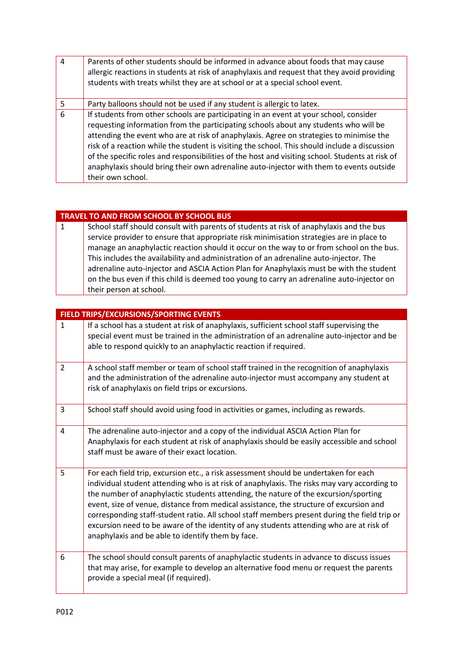| $\boxed{4}$ | Parents of other students should be informed in advance about foods that may cause<br>allergic reactions in students at risk of anaphylaxis and request that they avoid providing<br>students with treats whilst they are at school or at a special school event.                                                                                                                                                                                                                                                                                                                            |
|-------------|----------------------------------------------------------------------------------------------------------------------------------------------------------------------------------------------------------------------------------------------------------------------------------------------------------------------------------------------------------------------------------------------------------------------------------------------------------------------------------------------------------------------------------------------------------------------------------------------|
| 5           | Party balloons should not be used if any student is allergic to latex.                                                                                                                                                                                                                                                                                                                                                                                                                                                                                                                       |
| 6           | If students from other schools are participating in an event at your school, consider<br>requesting information from the participating schools about any students who will be<br>attending the event who are at risk of anaphylaxis. Agree on strategies to minimise the<br>risk of a reaction while the student is visiting the school. This should include a discussion<br>of the specific roles and responsibilities of the host and visiting school. Students at risk of<br>anaphylaxis should bring their own adrenaline auto-injector with them to events outside<br>their own school. |

### **TRAVEL TO AND FROM SCHOOL BY SCHOOL BUS**

1 School staff should consult with parents of students at risk of anaphylaxis and the bus service provider to ensure that appropriate risk minimisation strategies are in place to manage an anaphylactic reaction should it occur on the way to or from school on the bus. This includes the availability and administration of an adrenaline auto-injector. The adrenaline auto-injector and ASCIA Action Plan for Anaphylaxis must be with the student on the bus even if this child is deemed too young to carry an adrenaline auto-injector on their person at school.

| FIELD TRIPS/EXCURSIONS/SPORTING EVENTS |                                                                                                                                                                                                                                                                                                                                                                                                                                                                                                                                                                                                                      |
|----------------------------------------|----------------------------------------------------------------------------------------------------------------------------------------------------------------------------------------------------------------------------------------------------------------------------------------------------------------------------------------------------------------------------------------------------------------------------------------------------------------------------------------------------------------------------------------------------------------------------------------------------------------------|
| $\mathbf{1}$                           | If a school has a student at risk of anaphylaxis, sufficient school staff supervising the<br>special event must be trained in the administration of an adrenaline auto-injector and be<br>able to respond quickly to an anaphylactic reaction if required.                                                                                                                                                                                                                                                                                                                                                           |
| $\overline{2}$                         | A school staff member or team of school staff trained in the recognition of anaphylaxis<br>and the administration of the adrenaline auto-injector must accompany any student at<br>risk of anaphylaxis on field trips or excursions.                                                                                                                                                                                                                                                                                                                                                                                 |
| 3                                      | School staff should avoid using food in activities or games, including as rewards.                                                                                                                                                                                                                                                                                                                                                                                                                                                                                                                                   |
| $\overline{4}$                         | The adrenaline auto-injector and a copy of the individual ASCIA Action Plan for<br>Anaphylaxis for each student at risk of anaphylaxis should be easily accessible and school<br>staff must be aware of their exact location.                                                                                                                                                                                                                                                                                                                                                                                        |
| 5                                      | For each field trip, excursion etc., a risk assessment should be undertaken for each<br>individual student attending who is at risk of anaphylaxis. The risks may vary according to<br>the number of anaphylactic students attending, the nature of the excursion/sporting<br>event, size of venue, distance from medical assistance, the structure of excursion and<br>corresponding staff-student ratio. All school staff members present during the field trip or<br>excursion need to be aware of the identity of any students attending who are at risk of<br>anaphylaxis and be able to identify them by face. |
| 6                                      | The school should consult parents of anaphylactic students in advance to discuss issues<br>that may arise, for example to develop an alternative food menu or request the parents<br>provide a special meal (if required).                                                                                                                                                                                                                                                                                                                                                                                           |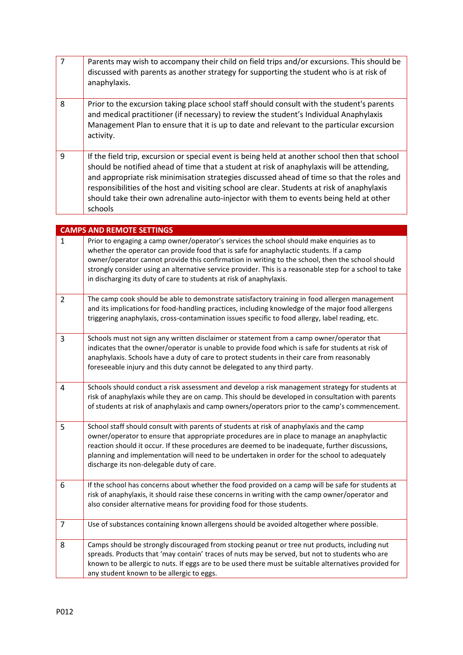| $\overline{7}$ | Parents may wish to accompany their child on field trips and/or excursions. This should be<br>discussed with parents as another strategy for supporting the student who is at risk of<br>anaphylaxis.                                                                                                                                                                                                                                                                                         |
|----------------|-----------------------------------------------------------------------------------------------------------------------------------------------------------------------------------------------------------------------------------------------------------------------------------------------------------------------------------------------------------------------------------------------------------------------------------------------------------------------------------------------|
| 8              | Prior to the excursion taking place school staff should consult with the student's parents<br>and medical practitioner (if necessary) to review the student's Individual Anaphylaxis<br>Management Plan to ensure that it is up to date and relevant to the particular excursion<br>activity.                                                                                                                                                                                                 |
| 9              | If the field trip, excursion or special event is being held at another school then that school<br>should be notified ahead of time that a student at risk of anaphylaxis will be attending,<br>and appropriate risk minimisation strategies discussed ahead of time so that the roles and<br>responsibilities of the host and visiting school are clear. Students at risk of anaphylaxis<br>should take their own adrenaline auto-injector with them to events being held at other<br>schools |

|   | <b>CAMPS AND REMOTE SETTINGS</b>                                                                                                                                                                                                                                                                                                                                                                                                                                           |
|---|----------------------------------------------------------------------------------------------------------------------------------------------------------------------------------------------------------------------------------------------------------------------------------------------------------------------------------------------------------------------------------------------------------------------------------------------------------------------------|
| 1 | Prior to engaging a camp owner/operator's services the school should make enquiries as to<br>whether the operator can provide food that is safe for anaphylactic students. If a camp<br>owner/operator cannot provide this confirmation in writing to the school, then the school should<br>strongly consider using an alternative service provider. This is a reasonable step for a school to take<br>in discharging its duty of care to students at risk of anaphylaxis. |
| 2 | The camp cook should be able to demonstrate satisfactory training in food allergen management<br>and its implications for food-handling practices, including knowledge of the major food allergens<br>triggering anaphylaxis, cross-contamination issues specific to food allergy, label reading, etc.                                                                                                                                                                     |
| 3 | Schools must not sign any written disclaimer or statement from a camp owner/operator that<br>indicates that the owner/operator is unable to provide food which is safe for students at risk of<br>anaphylaxis. Schools have a duty of care to protect students in their care from reasonably<br>foreseeable injury and this duty cannot be delegated to any third party.                                                                                                   |
| 4 | Schools should conduct a risk assessment and develop a risk management strategy for students at<br>risk of anaphylaxis while they are on camp. This should be developed in consultation with parents<br>of students at risk of anaphylaxis and camp owners/operators prior to the camp's commencement.                                                                                                                                                                     |
| 5 | School staff should consult with parents of students at risk of anaphylaxis and the camp<br>owner/operator to ensure that appropriate procedures are in place to manage an anaphylactic<br>reaction should it occur. If these procedures are deemed to be inadequate, further discussions,<br>planning and implementation will need to be undertaken in order for the school to adequately<br>discharge its non-delegable duty of care.                                    |
| 6 | If the school has concerns about whether the food provided on a camp will be safe for students at<br>risk of anaphylaxis, it should raise these concerns in writing with the camp owner/operator and<br>also consider alternative means for providing food for those students.                                                                                                                                                                                             |
| 7 | Use of substances containing known allergens should be avoided altogether where possible.                                                                                                                                                                                                                                                                                                                                                                                  |
| 8 | Camps should be strongly discouraged from stocking peanut or tree nut products, including nut<br>spreads. Products that 'may contain' traces of nuts may be served, but not to students who are<br>known to be allergic to nuts. If eggs are to be used there must be suitable alternatives provided for<br>any student known to be allergic to eggs.                                                                                                                      |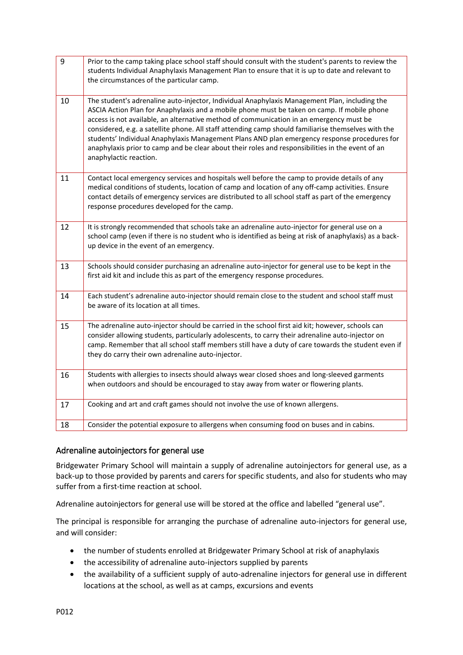| 9  | Prior to the camp taking place school staff should consult with the student's parents to review the<br>students Individual Anaphylaxis Management Plan to ensure that it is up to date and relevant to<br>the circumstances of the particular camp.                                                                                                                                                                                                                                                                                                                                                                          |
|----|------------------------------------------------------------------------------------------------------------------------------------------------------------------------------------------------------------------------------------------------------------------------------------------------------------------------------------------------------------------------------------------------------------------------------------------------------------------------------------------------------------------------------------------------------------------------------------------------------------------------------|
| 10 | The student's adrenaline auto-injector, Individual Anaphylaxis Management Plan, including the<br>ASCIA Action Plan for Anaphylaxis and a mobile phone must be taken on camp. If mobile phone<br>access is not available, an alternative method of communication in an emergency must be<br>considered, e.g. a satellite phone. All staff attending camp should familiarise themselves with the<br>students' Individual Anaphylaxis Management Plans AND plan emergency response procedures for<br>anaphylaxis prior to camp and be clear about their roles and responsibilities in the event of an<br>anaphylactic reaction. |
| 11 | Contact local emergency services and hospitals well before the camp to provide details of any<br>medical conditions of students, location of camp and location of any off-camp activities. Ensure<br>contact details of emergency services are distributed to all school staff as part of the emergency<br>response procedures developed for the camp.                                                                                                                                                                                                                                                                       |
| 12 | It is strongly recommended that schools take an adrenaline auto-injector for general use on a<br>school camp (even if there is no student who is identified as being at risk of anaphylaxis) as a back-<br>up device in the event of an emergency.                                                                                                                                                                                                                                                                                                                                                                           |
| 13 | Schools should consider purchasing an adrenaline auto-injector for general use to be kept in the<br>first aid kit and include this as part of the emergency response procedures.                                                                                                                                                                                                                                                                                                                                                                                                                                             |
| 14 | Each student's adrenaline auto-injector should remain close to the student and school staff must<br>be aware of its location at all times.                                                                                                                                                                                                                                                                                                                                                                                                                                                                                   |
| 15 | The adrenaline auto-injector should be carried in the school first aid kit; however, schools can<br>consider allowing students, particularly adolescents, to carry their adrenaline auto-injector on<br>camp. Remember that all school staff members still have a duty of care towards the student even if<br>they do carry their own adrenaline auto-injector.                                                                                                                                                                                                                                                              |
| 16 | Students with allergies to insects should always wear closed shoes and long-sleeved garments<br>when outdoors and should be encouraged to stay away from water or flowering plants.                                                                                                                                                                                                                                                                                                                                                                                                                                          |
| 17 | Cooking and art and craft games should not involve the use of known allergens.                                                                                                                                                                                                                                                                                                                                                                                                                                                                                                                                               |
| 18 | Consider the potential exposure to allergens when consuming food on buses and in cabins.                                                                                                                                                                                                                                                                                                                                                                                                                                                                                                                                     |
|    |                                                                                                                                                                                                                                                                                                                                                                                                                                                                                                                                                                                                                              |

### Adrenaline autoinjectors for general use

Bridgewater Primary School will maintain a supply of adrenaline autoinjectors for general use, as a back-up to those provided by parents and carers for specific students, and also for students who may suffer from a first-time reaction at school.

Adrenaline autoinjectors for general use will be stored at the office and labelled "general use".

The principal is responsible for arranging the purchase of adrenaline auto-injectors for general use, and will consider:

- the number of students enrolled at Bridgewater Primary School at risk of anaphylaxis
- the accessibility of adrenaline auto-injectors supplied by parents
- the availability of a sufficient supply of auto-adrenaline injectors for general use in different locations at the school, as well as at camps, excursions and events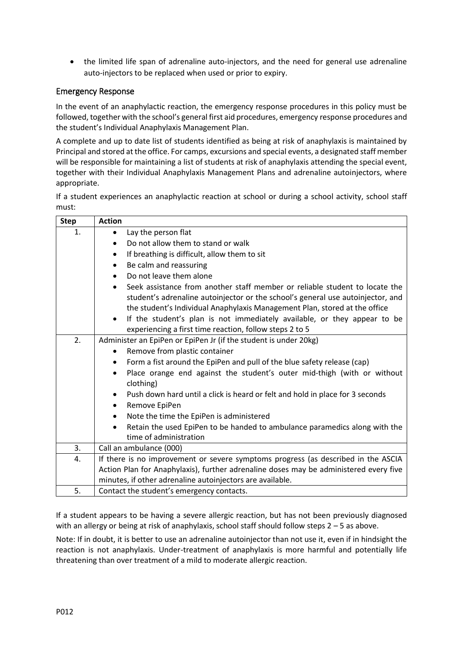the limited life span of adrenaline auto-injectors, and the need for general use adrenaline auto-injectors to be replaced when used or prior to expiry.

### Emergency Response

In the event of an anaphylactic reaction, the emergency response procedures in this policy must be followed, together with the school's general first aid procedures, emergency response procedures and the student's Individual Anaphylaxis Management Plan.

A complete and up to date list of students identified as being at risk of anaphylaxis is maintained by Principal and stored at the office. For camps, excursions and special events, a designated staff member will be responsible for maintaining a list of students at risk of anaphylaxis attending the special event, together with their Individual Anaphylaxis Management Plans and adrenaline autoinjectors, where appropriate.

If a student experiences an anaphylactic reaction at school or during a school activity, school staff must:

| <b>Step</b> | <b>Action</b>                                                                                                                                                                                                                                             |
|-------------|-----------------------------------------------------------------------------------------------------------------------------------------------------------------------------------------------------------------------------------------------------------|
| 1.          | Lay the person flat<br>$\bullet$                                                                                                                                                                                                                          |
|             | Do not allow them to stand or walk<br>$\bullet$                                                                                                                                                                                                           |
|             | If breathing is difficult, allow them to sit<br>$\bullet$                                                                                                                                                                                                 |
|             | Be calm and reassuring<br>$\bullet$                                                                                                                                                                                                                       |
|             | Do not leave them alone<br>$\bullet$                                                                                                                                                                                                                      |
|             | Seek assistance from another staff member or reliable student to locate the<br>$\bullet$<br>student's adrenaline autoinjector or the school's general use autoinjector, and<br>the student's Individual Anaphylaxis Management Plan, stored at the office |
|             | If the student's plan is not immediately available, or they appear to be<br>$\bullet$                                                                                                                                                                     |
|             | experiencing a first time reaction, follow steps 2 to 5                                                                                                                                                                                                   |
| 2.          | Administer an EpiPen or EpiPen Jr (if the student is under 20kg)                                                                                                                                                                                          |
|             | Remove from plastic container<br>$\bullet$                                                                                                                                                                                                                |
|             | Form a fist around the EpiPen and pull of the blue safety release (cap)<br>٠                                                                                                                                                                              |
|             | Place orange end against the student's outer mid-thigh (with or without<br>$\bullet$<br>clothing)                                                                                                                                                         |
|             | Push down hard until a click is heard or felt and hold in place for 3 seconds                                                                                                                                                                             |
|             | Remove EpiPen<br>٠                                                                                                                                                                                                                                        |
|             | Note the time the EpiPen is administered<br>٠                                                                                                                                                                                                             |
|             | Retain the used EpiPen to be handed to ambulance paramedics along with the<br>$\bullet$<br>time of administration                                                                                                                                         |
| 3.          | Call an ambulance (000)                                                                                                                                                                                                                                   |
| 4.          | If there is no improvement or severe symptoms progress (as described in the ASCIA                                                                                                                                                                         |
|             | Action Plan for Anaphylaxis), further adrenaline doses may be administered every five                                                                                                                                                                     |
|             | minutes, if other adrenaline autoinjectors are available.                                                                                                                                                                                                 |
| 5.          | Contact the student's emergency contacts.                                                                                                                                                                                                                 |

If a student appears to be having a severe allergic reaction, but has not been previously diagnosed with an allergy or being at risk of anaphylaxis, school staff should follow steps 2 – 5 as above.

Note: If in doubt, it is better to use an adrenaline autoinjector than not use it, even if in hindsight the reaction is not anaphylaxis. Under-treatment of anaphylaxis is more harmful and potentially life threatening than over treatment of a mild to moderate allergic reaction.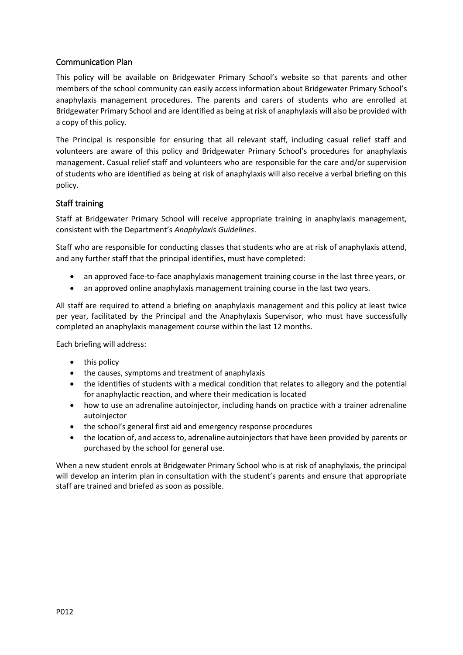### Communication Plan

This policy will be available on Bridgewater Primary School's website so that parents and other members of the school community can easily access information about Bridgewater Primary School's anaphylaxis management procedures. The parents and carers of students who are enrolled at Bridgewater Primary School and are identified as being at risk of anaphylaxis will also be provided with a copy of this policy.

The Principal is responsible for ensuring that all relevant staff, including casual relief staff and volunteers are aware of this policy and Bridgewater Primary School's procedures for anaphylaxis management. Casual relief staff and volunteers who are responsible for the care and/or supervision of students who are identified as being at risk of anaphylaxis will also receive a verbal briefing on this policy.

#### Staff training

Staff at Bridgewater Primary School will receive appropriate training in anaphylaxis management, consistent with the Department's *Anaphylaxis Guidelines*.

Staff who are responsible for conducting classes that students who are at risk of anaphylaxis attend, and any further staff that the principal identifies, must have completed:

- an approved face-to-face anaphylaxis management training course in the last three years, or
- an approved online anaphylaxis management training course in the last two years.

All staff are required to attend a briefing on anaphylaxis management and this policy at least twice per year, facilitated by the Principal and the Anaphylaxis Supervisor, who must have successfully completed an anaphylaxis management course within the last 12 months.

Each briefing will address:

- $\bullet$  this policy
- the causes, symptoms and treatment of anaphylaxis
- the identifies of students with a medical condition that relates to allegory and the potential for anaphylactic reaction, and where their medication is located
- how to use an adrenaline autoinjector, including hands on practice with a trainer adrenaline autoiniector
- the school's general first aid and emergency response procedures
- the location of, and access to, adrenaline autoinjectors that have been provided by parents or purchased by the school for general use.

When a new student enrols at Bridgewater Primary School who is at risk of anaphylaxis, the principal will develop an interim plan in consultation with the student's parents and ensure that appropriate staff are trained and briefed as soon as possible.